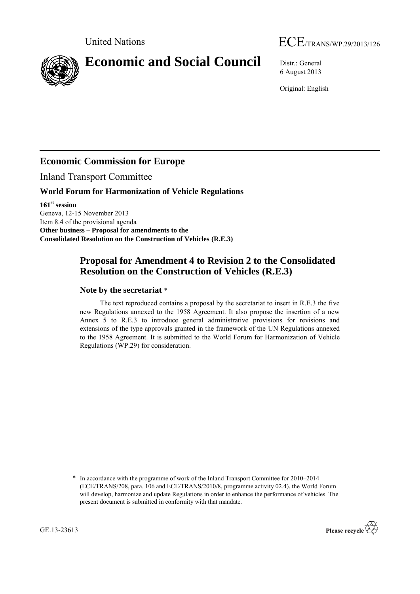



# **Economic and Social Council** Distr.: General

6 August 2013

Original: English

## **Economic Commission for Europe**

Inland Transport Committee

#### **World Forum for Harmonization of Vehicle Regulations**

**161st session** Geneva, 12-15 November 2013 Item 8.4 of the provisional agenda **Other business – Proposal for amendments to the Consolidated Resolution on the Construction of Vehicles (R.E.3)**

### **Proposal for Amendment 4 to Revision 2 to the Consolidated Resolution on the Construction of Vehicles (R.E.3)**

#### **Note by the secretariat** \*

The text reproduced contains a proposal by the secretariat to insert in R.E.3 the five new Regulations annexed to the 1958 Agreement. It also propose the insertion of a new Annex 5 to R.E.3 to introduce general administrative provisions for revisions and extensions of the type approvals granted in the framework of the UN Regulations annexed to the 1958 Agreement. It is submitted to the World Forum for Harmonization of Vehicle Regulations (WP.29) for consideration.

<sup>\*</sup> In accordance with the programme of work of the Inland Transport Committee for 2010–2014 (ECE/TRANS/208, para. 106 and ECE/TRANS/2010/8, programme activity 02.4), the World Forum will develop, harmonize and update Regulations in order to enhance the performance of vehicles. The present document is submitted in conformity with that mandate.

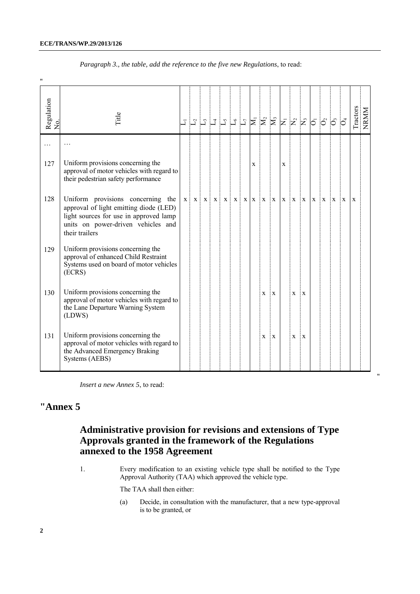"

| Regulation<br>No. | Title                                                                                                                                                                         | $\overline{1}$ | $\mathbb{Z}^+$ | $\lfloor 2 \rfloor$ |       |       |   |     |   | $\begin{array}{ c c c }\hline \multicolumn{1}{ c }{1} & \multicolumn{1}{ c }{5} & \multicolumn{1}{ c }{2} & \multicolumn{1}{ c }{2} & \multicolumn{1}{ c }{2} & \multicolumn{1}{ c }{3} & \multicolumn{1}{ c }{3} & \multicolumn{1}{ c }{5} & \multicolumn{1}{ c }{5} & \multicolumn{1}{ c }{5} & \multicolumn{1}{ c }{5} & \multicolumn{1}{ c }{5} & \multicolumn{1}{ c }{5} & \multicolumn{1}{ c }{5} & \multicolumn{1}{ c$ |   |   |   |              |   | $\overline{z}$ $\overline{z}$ $\overline{z}$ $\overline{0}$ $\overline{0}$ | රි |   | Tractors | NRMM |
|-------------------|-------------------------------------------------------------------------------------------------------------------------------------------------------------------------------|----------------|----------------|---------------------|-------|-------|---|-----|---|-------------------------------------------------------------------------------------------------------------------------------------------------------------------------------------------------------------------------------------------------------------------------------------------------------------------------------------------------------------------------------------------------------------------------------|---|---|---|--------------|---|----------------------------------------------------------------------------|----|---|----------|------|
| .                 |                                                                                                                                                                               |                |                |                     |       |       |   |     |   |                                                                                                                                                                                                                                                                                                                                                                                                                               |   |   |   |              |   |                                                                            |    |   |          |      |
| 127               | Uniform provisions concerning the<br>approval of motor vehicles with regard to<br>their pedestrian safety performance                                                         |                |                |                     |       |       |   |     | X |                                                                                                                                                                                                                                                                                                                                                                                                                               |   | X |   |              |   |                                                                            |    |   |          |      |
| 128               | Uniform provisions concerning the<br>approval of light emitting diode (LED)<br>light sources for use in approved lamp<br>units on power-driven vehicles and<br>their trailers | X              | $\mathbf{X}$   | $\mathbf{X}$        | $X$ : | $X$ : | X | X X |   | X                                                                                                                                                                                                                                                                                                                                                                                                                             | X | X | X | $\mathbf{X}$ | X | X                                                                          | X  | X | X        |      |
| 129               | Uniform provisions concerning the<br>approval of enhanced Child Restraint<br>Systems used on board of motor vehicles<br>(ECRS)                                                |                |                |                     |       |       |   |     |   |                                                                                                                                                                                                                                                                                                                                                                                                                               |   |   |   |              |   |                                                                            |    |   |          |      |
| 130               | Uniform provisions concerning the<br>approval of motor vehicles with regard to<br>the Lane Departure Warning System<br>(LDWS)                                                 |                |                |                     |       |       |   |     |   | X                                                                                                                                                                                                                                                                                                                                                                                                                             | X |   | X | X            |   |                                                                            |    |   |          |      |
| 131               | Uniform provisions concerning the<br>approval of motor vehicles with regard to<br>the Advanced Emergency Braking<br>Systems (AEBS)                                            |                |                |                     |       |       |   |     |   | X                                                                                                                                                                                                                                                                                                                                                                                                                             | X |   | X | X            |   |                                                                            |    |   |          |      |

*Paragraph 3., the table, add the reference to the five new Regulations*, to read:

*Insert a new Annex 5*, to read:

## **"Annex 5**

### **Administrative provision for revisions and extensions of Type Approvals granted in the framework of the Regulations annexed to the 1958 Agreement**

1. Every modification to an existing vehicle type shall be notified to the Type Approval Authority (TAA) which approved the vehicle type.

The TAA shall then either:

(a) Decide, in consultation with the manufacturer, that a new type-approval is to be granted, or

"